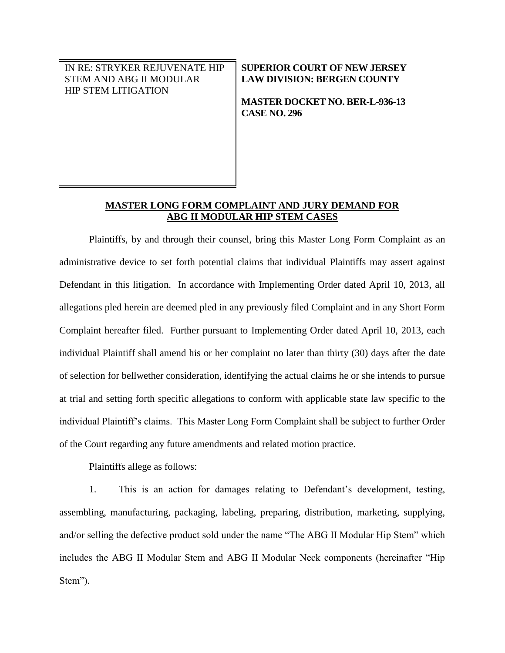IN RE: STRYKER REJUVENATE HIP STEM AND ABG II MODULAR HIP STEM LITIGATION

**SUPERIOR COURT OF NEW JERSEY LAW DIVISION: BERGEN COUNTY**

**MASTER DOCKET NO. BER-L-936-13 CASE NO. 296**

# **MASTER LONG FORM COMPLAINT AND JURY DEMAND FOR ABG II MODULAR HIP STEM CASES**

Plaintiffs, by and through their counsel, bring this Master Long Form Complaint as an administrative device to set forth potential claims that individual Plaintiffs may assert against Defendant in this litigation. In accordance with Implementing Order dated April 10, 2013, all allegations pled herein are deemed pled in any previously filed Complaint and in any Short Form Complaint hereafter filed. Further pursuant to Implementing Order dated April 10, 2013, each individual Plaintiff shall amend his or her complaint no later than thirty (30) days after the date of selection for bellwether consideration, identifying the actual claims he or she intends to pursue at trial and setting forth specific allegations to conform with applicable state law specific to the individual Plaintiff's claims. This Master Long Form Complaint shall be subject to further Order of the Court regarding any future amendments and related motion practice.

Plaintiffs allege as follows:

1. This is an action for damages relating to Defendant's development, testing, assembling, manufacturing, packaging, labeling, preparing, distribution, marketing, supplying, and/or selling the defective product sold under the name "The ABG II Modular Hip Stem" which includes the ABG II Modular Stem and ABG II Modular Neck components (hereinafter "Hip Stem").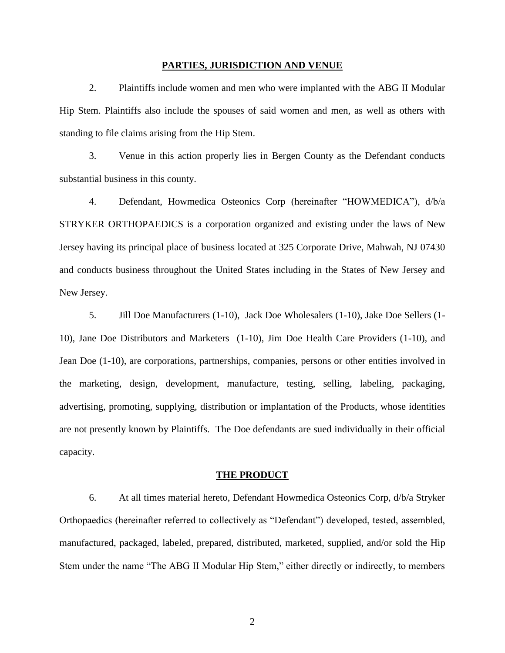### **PARTIES, JURISDICTION AND VENUE**

2. Plaintiffs include women and men who were implanted with the ABG II Modular Hip Stem. Plaintiffs also include the spouses of said women and men, as well as others with standing to file claims arising from the Hip Stem.

3. Venue in this action properly lies in Bergen County as the Defendant conducts substantial business in this county.

4. Defendant, Howmedica Osteonics Corp (hereinafter "HOWMEDICA"), d/b/a STRYKER ORTHOPAEDICS is a corporation organized and existing under the laws of New Jersey having its principal place of business located at 325 Corporate Drive, Mahwah, NJ 07430 and conducts business throughout the United States including in the States of New Jersey and New Jersey.

5. Jill Doe Manufacturers (1-10), Jack Doe Wholesalers (1-10), Jake Doe Sellers (1- 10), Jane Doe Distributors and Marketers (1-10), Jim Doe Health Care Providers (1-10), and Jean Doe (1-10), are corporations, partnerships, companies, persons or other entities involved in the marketing, design, development, manufacture, testing, selling, labeling, packaging, advertising, promoting, supplying, distribution or implantation of the Products, whose identities are not presently known by Plaintiffs. The Doe defendants are sued individually in their official capacity.

#### **THE PRODUCT**

6. At all times material hereto, Defendant Howmedica Osteonics Corp, d/b/a Stryker Orthopaedics (hereinafter referred to collectively as "Defendant") developed, tested, assembled, manufactured, packaged, labeled, prepared, distributed, marketed, supplied, and/or sold the Hip Stem under the name "The ABG II Modular Hip Stem," either directly or indirectly, to members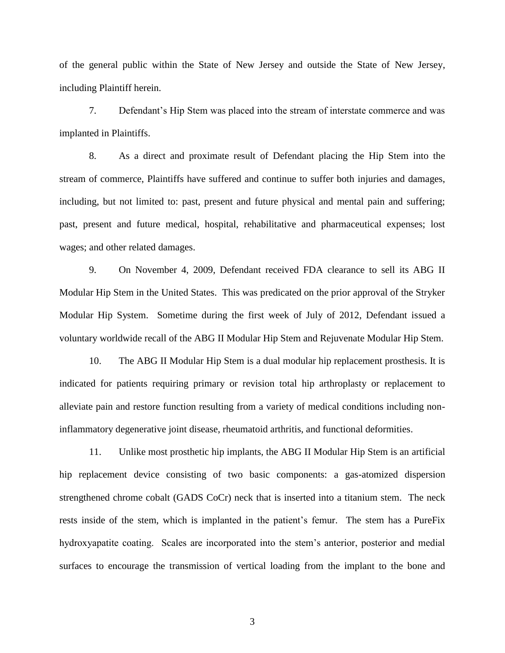of the general public within the State of New Jersey and outside the State of New Jersey, including Plaintiff herein.

7. Defendant's Hip Stem was placed into the stream of interstate commerce and was implanted in Plaintiffs.

8. As a direct and proximate result of Defendant placing the Hip Stem into the stream of commerce, Plaintiffs have suffered and continue to suffer both injuries and damages, including, but not limited to: past, present and future physical and mental pain and suffering; past, present and future medical, hospital, rehabilitative and pharmaceutical expenses; lost wages; and other related damages.

9. On November 4, 2009, Defendant received FDA clearance to sell its ABG II Modular Hip Stem in the United States. This was predicated on the prior approval of the Stryker Modular Hip System. Sometime during the first week of July of 2012, Defendant issued a voluntary worldwide recall of the ABG II Modular Hip Stem and Rejuvenate Modular Hip Stem.

10. The ABG II Modular Hip Stem is a dual modular hip replacement prosthesis. It is indicated for patients requiring primary or revision total hip arthroplasty or replacement to alleviate pain and restore function resulting from a variety of medical conditions including noninflammatory degenerative joint disease, rheumatoid arthritis, and functional deformities.

11. Unlike most prosthetic hip implants, the ABG II Modular Hip Stem is an artificial hip replacement device consisting of two basic components: a gas-atomized dispersion strengthened chrome cobalt (GADS CoCr) neck that is inserted into a titanium stem. The neck rests inside of the stem, which is implanted in the patient's femur. The stem has a PureFix hydroxyapatite coating. Scales are incorporated into the stem's anterior, posterior and medial surfaces to encourage the transmission of vertical loading from the implant to the bone and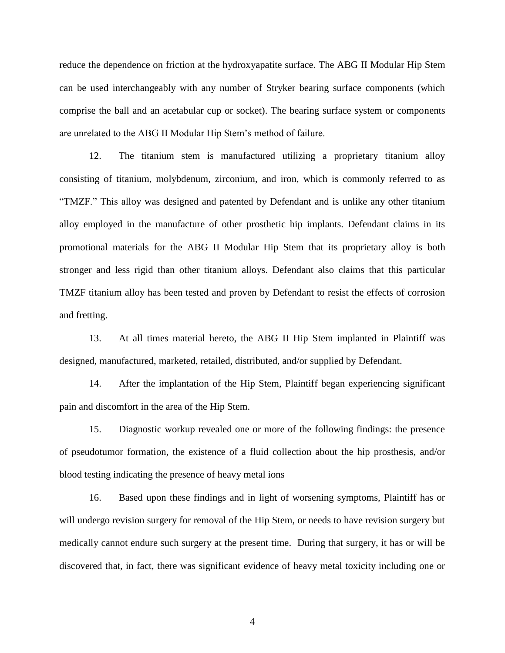reduce the dependence on friction at the hydroxyapatite surface. The ABG II Modular Hip Stem can be used interchangeably with any number of Stryker bearing surface components (which comprise the ball and an acetabular cup or socket). The bearing surface system or components are unrelated to the ABG II Modular Hip Stem's method of failure.

12. The titanium stem is manufactured utilizing a proprietary titanium alloy consisting of titanium, molybdenum, zirconium, and iron, which is commonly referred to as "TMZF." This alloy was designed and patented by Defendant and is unlike any other titanium alloy employed in the manufacture of other prosthetic hip implants. Defendant claims in its promotional materials for the ABG II Modular Hip Stem that its proprietary alloy is both stronger and less rigid than other titanium alloys. Defendant also claims that this particular TMZF titanium alloy has been tested and proven by Defendant to resist the effects of corrosion and fretting.

13. At all times material hereto, the ABG II Hip Stem implanted in Plaintiff was designed, manufactured, marketed, retailed, distributed, and/or supplied by Defendant.

14. After the implantation of the Hip Stem, Plaintiff began experiencing significant pain and discomfort in the area of the Hip Stem.

15. Diagnostic workup revealed one or more of the following findings: the presence of pseudotumor formation, the existence of a fluid collection about the hip prosthesis, and/or blood testing indicating the presence of heavy metal ions

16. Based upon these findings and in light of worsening symptoms, Plaintiff has or will undergo revision surgery for removal of the Hip Stem, or needs to have revision surgery but medically cannot endure such surgery at the present time. During that surgery, it has or will be discovered that, in fact, there was significant evidence of heavy metal toxicity including one or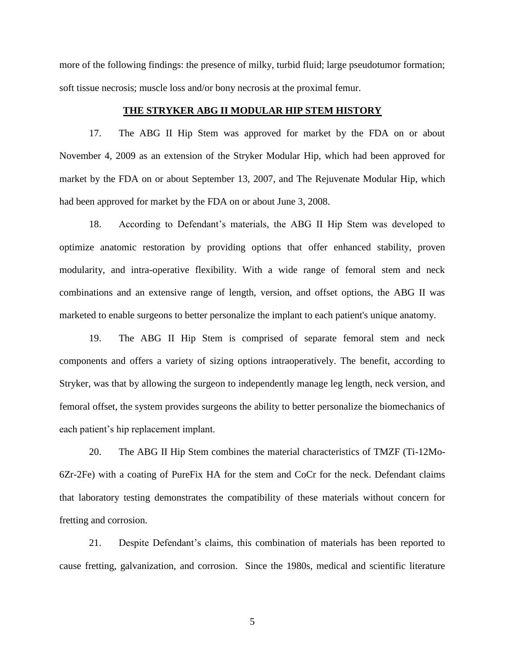more of the following findings: the presence of milky, turbid fluid; large pseudotumor formation; soft tissue necrosis; muscle loss and/or bony necrosis at the proximal femur.

## **THE STRYKER ABG II MODULAR HIP STEM HISTORY**

17. The ABG II Hip Stem was approved for market by the FDA on or about November 4, 2009 as an extension of the Stryker Modular Hip, which had been approved for market by the FDA on or about September 13, 2007, and The Rejuvenate Modular Hip, which had been approved for market by the FDA on or about June 3, 2008.

18. According to Defendant's materials, the ABG II Hip Stem was developed to optimize anatomic restoration by providing options that offer enhanced stability, proven modularity, and intra-operative flexibility. With a wide range of femoral stem and neck combinations and an extensive range of length, version, and offset options, the ABG II was marketed to enable surgeons to better personalize the implant to each patient's unique anatomy.

19. The ABG II Hip Stem is comprised of separate femoral stem and neck components and offers a variety of sizing options intraoperatively. The benefit, according to Stryker, was that by allowing the surgeon to independently manage leg length, neck version, and femoral offset, the system provides surgeons the ability to better personalize the biomechanics of each patient's hip replacement implant.

20. The ABG II Hip Stem combines the material characteristics of TMZF (Ti-12Mo-6Zr-2Fe) with a coating of PureFix HA for the stem and CoCr for the neck. Defendant claims that laboratory testing demonstrates the compatibility of these materials without concern for fretting and corrosion.

21. Despite Defendant's claims, this combination of materials has been reported to cause fretting, galvanization, and corrosion. Since the 1980s, medical and scientific literature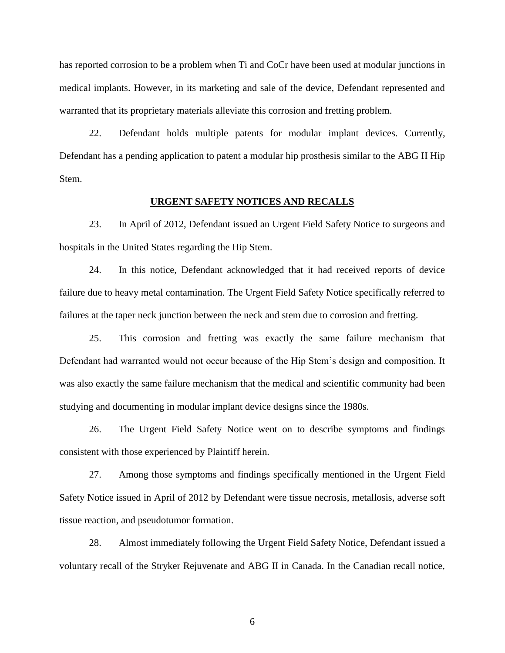has reported corrosion to be a problem when Ti and CoCr have been used at modular junctions in medical implants. However, in its marketing and sale of the device, Defendant represented and warranted that its proprietary materials alleviate this corrosion and fretting problem.

22. Defendant holds multiple patents for modular implant devices. Currently, Defendant has a pending application to patent a modular hip prosthesis similar to the ABG II Hip Stem.

## **URGENT SAFETY NOTICES AND RECALLS**

23. In April of 2012, Defendant issued an Urgent Field Safety Notice to surgeons and hospitals in the United States regarding the Hip Stem.

24. In this notice, Defendant acknowledged that it had received reports of device failure due to heavy metal contamination. The Urgent Field Safety Notice specifically referred to failures at the taper neck junction between the neck and stem due to corrosion and fretting.

25. This corrosion and fretting was exactly the same failure mechanism that Defendant had warranted would not occur because of the Hip Stem's design and composition. It was also exactly the same failure mechanism that the medical and scientific community had been studying and documenting in modular implant device designs since the 1980s.

26. The Urgent Field Safety Notice went on to describe symptoms and findings consistent with those experienced by Plaintiff herein.

27. Among those symptoms and findings specifically mentioned in the Urgent Field Safety Notice issued in April of 2012 by Defendant were tissue necrosis, metallosis, adverse soft tissue reaction, and pseudotumor formation.

28. Almost immediately following the Urgent Field Safety Notice, Defendant issued a voluntary recall of the Stryker Rejuvenate and ABG II in Canada. In the Canadian recall notice,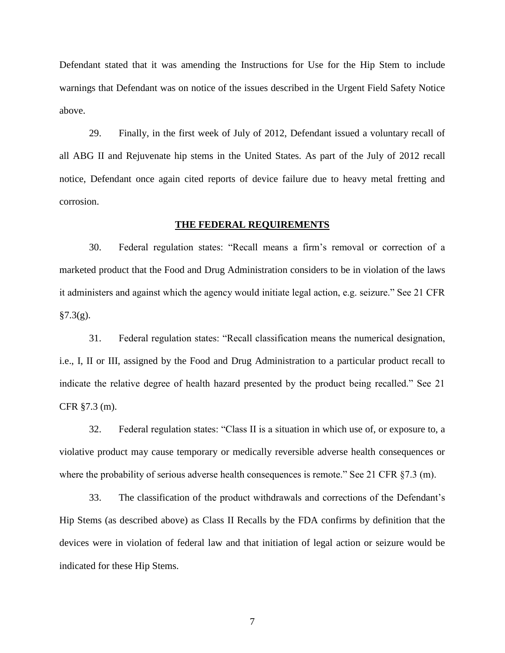Defendant stated that it was amending the Instructions for Use for the Hip Stem to include warnings that Defendant was on notice of the issues described in the Urgent Field Safety Notice above.

29. Finally, in the first week of July of 2012, Defendant issued a voluntary recall of all ABG II and Rejuvenate hip stems in the United States. As part of the July of 2012 recall notice, Defendant once again cited reports of device failure due to heavy metal fretting and corrosion.

## **THE FEDERAL REQUIREMENTS**

30. Federal regulation states: "Recall means a firm's removal or correction of a marketed product that the Food and Drug Administration considers to be in violation of the laws it administers and against which the agency would initiate legal action, e.g. seizure." See 21 CFR  $§7.3(g).$ 

31. Federal regulation states: "Recall classification means the numerical designation, i.e., I, II or III, assigned by the Food and Drug Administration to a particular product recall to indicate the relative degree of health hazard presented by the product being recalled." See 21 CFR §7.3 (m).

32. Federal regulation states: "Class II is a situation in which use of, or exposure to, a violative product may cause temporary or medically reversible adverse health consequences or where the probability of serious adverse health consequences is remote." See 21 CFR §7.3 (m).

33. The classification of the product withdrawals and corrections of the Defendant's Hip Stems (as described above) as Class II Recalls by the FDA confirms by definition that the devices were in violation of federal law and that initiation of legal action or seizure would be indicated for these Hip Stems.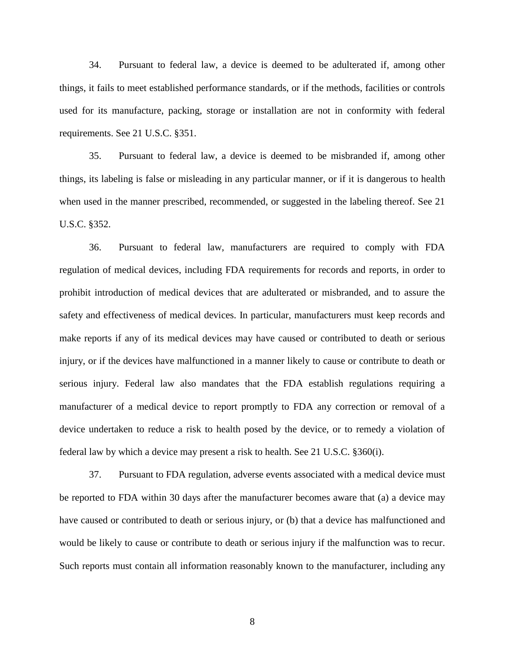34. Pursuant to federal law, a device is deemed to be adulterated if, among other things, it fails to meet established performance standards, or if the methods, facilities or controls used for its manufacture, packing, storage or installation are not in conformity with federal requirements. See 21 U.S.C. §351.

35. Pursuant to federal law, a device is deemed to be misbranded if, among other things, its labeling is false or misleading in any particular manner, or if it is dangerous to health when used in the manner prescribed, recommended, or suggested in the labeling thereof. See 21 U.S.C. §352.

36. Pursuant to federal law, manufacturers are required to comply with FDA regulation of medical devices, including FDA requirements for records and reports, in order to prohibit introduction of medical devices that are adulterated or misbranded, and to assure the safety and effectiveness of medical devices. In particular, manufacturers must keep records and make reports if any of its medical devices may have caused or contributed to death or serious injury, or if the devices have malfunctioned in a manner likely to cause or contribute to death or serious injury. Federal law also mandates that the FDA establish regulations requiring a manufacturer of a medical device to report promptly to FDA any correction or removal of a device undertaken to reduce a risk to health posed by the device, or to remedy a violation of federal law by which a device may present a risk to health. See 21 U.S.C. §360(i).

37. Pursuant to FDA regulation, adverse events associated with a medical device must be reported to FDA within 30 days after the manufacturer becomes aware that (a) a device may have caused or contributed to death or serious injury, or (b) that a device has malfunctioned and would be likely to cause or contribute to death or serious injury if the malfunction was to recur. Such reports must contain all information reasonably known to the manufacturer, including any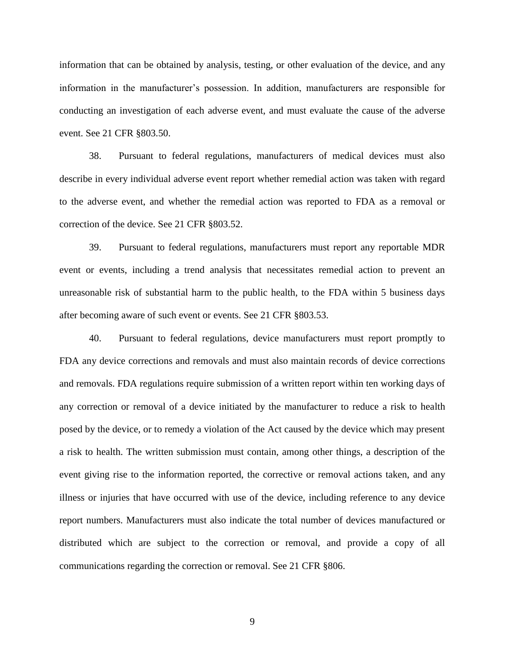information that can be obtained by analysis, testing, or other evaluation of the device, and any information in the manufacturer's possession. In addition, manufacturers are responsible for conducting an investigation of each adverse event, and must evaluate the cause of the adverse event. See 21 CFR §803.50.

38. Pursuant to federal regulations, manufacturers of medical devices must also describe in every individual adverse event report whether remedial action was taken with regard to the adverse event, and whether the remedial action was reported to FDA as a removal or correction of the device. See 21 CFR §803.52.

39. Pursuant to federal regulations, manufacturers must report any reportable MDR event or events, including a trend analysis that necessitates remedial action to prevent an unreasonable risk of substantial harm to the public health, to the FDA within 5 business days after becoming aware of such event or events. See 21 CFR §803.53.

40. Pursuant to federal regulations, device manufacturers must report promptly to FDA any device corrections and removals and must also maintain records of device corrections and removals. FDA regulations require submission of a written report within ten working days of any correction or removal of a device initiated by the manufacturer to reduce a risk to health posed by the device, or to remedy a violation of the Act caused by the device which may present a risk to health. The written submission must contain, among other things, a description of the event giving rise to the information reported, the corrective or removal actions taken, and any illness or injuries that have occurred with use of the device, including reference to any device report numbers. Manufacturers must also indicate the total number of devices manufactured or distributed which are subject to the correction or removal, and provide a copy of all communications regarding the correction or removal. See 21 CFR §806.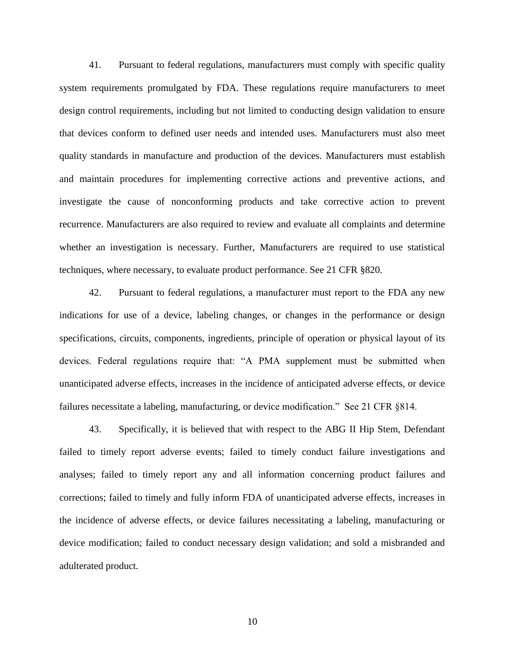41. Pursuant to federal regulations, manufacturers must comply with specific quality system requirements promulgated by FDA. These regulations require manufacturers to meet design control requirements, including but not limited to conducting design validation to ensure that devices conform to defined user needs and intended uses. Manufacturers must also meet quality standards in manufacture and production of the devices. Manufacturers must establish and maintain procedures for implementing corrective actions and preventive actions, and investigate the cause of nonconforming products and take corrective action to prevent recurrence. Manufacturers are also required to review and evaluate all complaints and determine whether an investigation is necessary. Further, Manufacturers are required to use statistical techniques, where necessary, to evaluate product performance. See 21 CFR §820.

42. Pursuant to federal regulations, a manufacturer must report to the FDA any new indications for use of a device, labeling changes, or changes in the performance or design specifications, circuits, components, ingredients, principle of operation or physical layout of its devices. Federal regulations require that: "A PMA supplement must be submitted when unanticipated adverse effects, increases in the incidence of anticipated adverse effects, or device failures necessitate a labeling, manufacturing, or device modification." See 21 CFR §814.

43. Specifically, it is believed that with respect to the ABG II Hip Stem, Defendant failed to timely report adverse events; failed to timely conduct failure investigations and analyses; failed to timely report any and all information concerning product failures and corrections; failed to timely and fully inform FDA of unanticipated adverse effects, increases in the incidence of adverse effects, or device failures necessitating a labeling, manufacturing or device modification; failed to conduct necessary design validation; and sold a misbranded and adulterated product.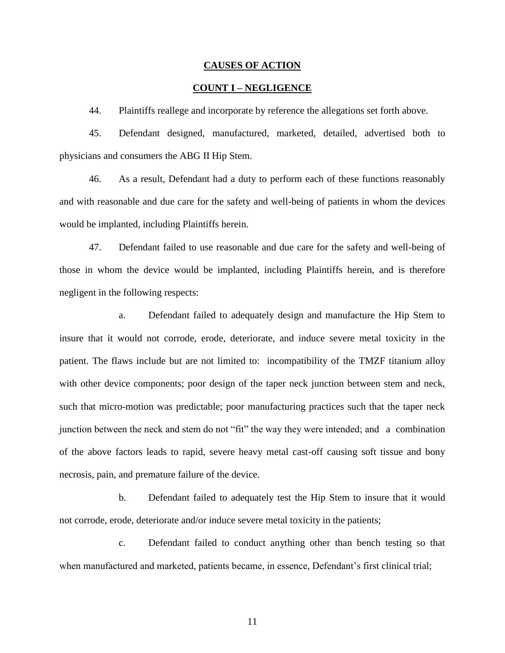#### **CAUSES OF ACTION**

## **COUNT I – NEGLIGENCE**

44. Plaintiffs reallege and incorporate by reference the allegations set forth above.

45. Defendant designed, manufactured, marketed, detailed, advertised both to physicians and consumers the ABG II Hip Stem.

46. As a result, Defendant had a duty to perform each of these functions reasonably and with reasonable and due care for the safety and well-being of patients in whom the devices would be implanted, including Plaintiffs herein.

47. Defendant failed to use reasonable and due care for the safety and well-being of those in whom the device would be implanted, including Plaintiffs herein, and is therefore negligent in the following respects:

a. Defendant failed to adequately design and manufacture the Hip Stem to insure that it would not corrode, erode, deteriorate, and induce severe metal toxicity in the patient. The flaws include but are not limited to: incompatibility of the TMZF titanium alloy with other device components; poor design of the taper neck junction between stem and neck, such that micro-motion was predictable; poor manufacturing practices such that the taper neck junction between the neck and stem do not "fit" the way they were intended; and a combination of the above factors leads to rapid, severe heavy metal cast-off causing soft tissue and bony necrosis, pain, and premature failure of the device.

b. Defendant failed to adequately test the Hip Stem to insure that it would not corrode, erode, deteriorate and/or induce severe metal toxicity in the patients;

c. Defendant failed to conduct anything other than bench testing so that when manufactured and marketed, patients became, in essence, Defendant's first clinical trial;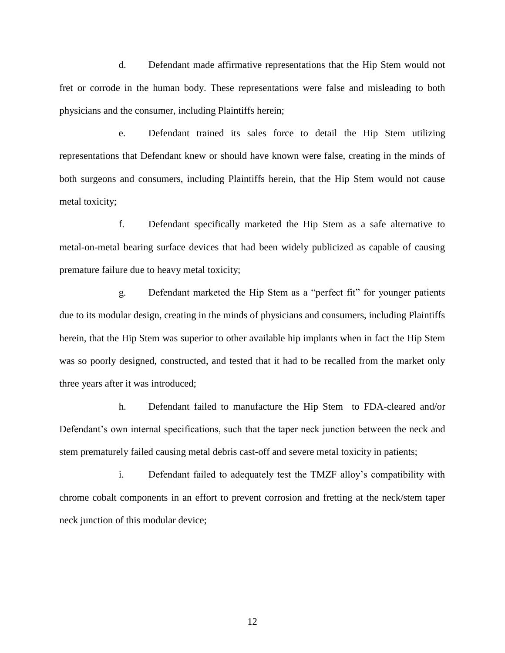d. Defendant made affirmative representations that the Hip Stem would not fret or corrode in the human body. These representations were false and misleading to both physicians and the consumer, including Plaintiffs herein;

e. Defendant trained its sales force to detail the Hip Stem utilizing representations that Defendant knew or should have known were false, creating in the minds of both surgeons and consumers, including Plaintiffs herein, that the Hip Stem would not cause metal toxicity;

f. Defendant specifically marketed the Hip Stem as a safe alternative to metal-on-metal bearing surface devices that had been widely publicized as capable of causing premature failure due to heavy metal toxicity;

g. Defendant marketed the Hip Stem as a "perfect fit" for younger patients due to its modular design, creating in the minds of physicians and consumers, including Plaintiffs herein, that the Hip Stem was superior to other available hip implants when in fact the Hip Stem was so poorly designed, constructed, and tested that it had to be recalled from the market only three years after it was introduced;

h. Defendant failed to manufacture the Hip Stem to FDA-cleared and/or Defendant's own internal specifications, such that the taper neck junction between the neck and stem prematurely failed causing metal debris cast-off and severe metal toxicity in patients;

i. Defendant failed to adequately test the TMZF alloy's compatibility with chrome cobalt components in an effort to prevent corrosion and fretting at the neck/stem taper neck junction of this modular device;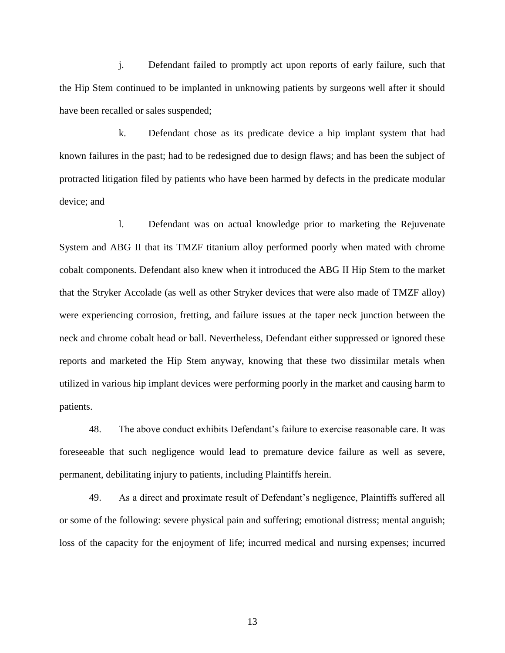j. Defendant failed to promptly act upon reports of early failure, such that the Hip Stem continued to be implanted in unknowing patients by surgeons well after it should have been recalled or sales suspended;

k. Defendant chose as its predicate device a hip implant system that had known failures in the past; had to be redesigned due to design flaws; and has been the subject of protracted litigation filed by patients who have been harmed by defects in the predicate modular device; and

l. Defendant was on actual knowledge prior to marketing the Rejuvenate System and ABG II that its TMZF titanium alloy performed poorly when mated with chrome cobalt components. Defendant also knew when it introduced the ABG II Hip Stem to the market that the Stryker Accolade (as well as other Stryker devices that were also made of TMZF alloy) were experiencing corrosion, fretting, and failure issues at the taper neck junction between the neck and chrome cobalt head or ball. Nevertheless, Defendant either suppressed or ignored these reports and marketed the Hip Stem anyway, knowing that these two dissimilar metals when utilized in various hip implant devices were performing poorly in the market and causing harm to patients.

48. The above conduct exhibits Defendant's failure to exercise reasonable care. It was foreseeable that such negligence would lead to premature device failure as well as severe, permanent, debilitating injury to patients, including Plaintiffs herein.

49. As a direct and proximate result of Defendant's negligence, Plaintiffs suffered all or some of the following: severe physical pain and suffering; emotional distress; mental anguish; loss of the capacity for the enjoyment of life; incurred medical and nursing expenses; incurred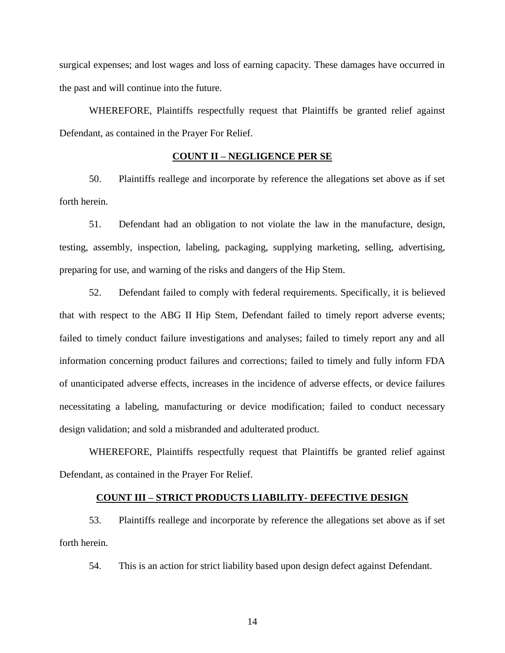surgical expenses; and lost wages and loss of earning capacity. These damages have occurred in the past and will continue into the future.

WHEREFORE, Plaintiffs respectfully request that Plaintiffs be granted relief against Defendant, as contained in the Prayer For Relief.

## **COUNT II – NEGLIGENCE PER SE**

50. Plaintiffs reallege and incorporate by reference the allegations set above as if set forth herein.

51. Defendant had an obligation to not violate the law in the manufacture, design, testing, assembly, inspection, labeling, packaging, supplying marketing, selling, advertising, preparing for use, and warning of the risks and dangers of the Hip Stem.

52. Defendant failed to comply with federal requirements. Specifically, it is believed that with respect to the ABG II Hip Stem, Defendant failed to timely report adverse events; failed to timely conduct failure investigations and analyses; failed to timely report any and all information concerning product failures and corrections; failed to timely and fully inform FDA of unanticipated adverse effects, increases in the incidence of adverse effects, or device failures necessitating a labeling, manufacturing or device modification; failed to conduct necessary design validation; and sold a misbranded and adulterated product.

WHEREFORE, Plaintiffs respectfully request that Plaintiffs be granted relief against Defendant, as contained in the Prayer For Relief.

## **COUNT III – STRICT PRODUCTS LIABILITY- DEFECTIVE DESIGN**

53. Plaintiffs reallege and incorporate by reference the allegations set above as if set forth herein.

54. This is an action for strict liability based upon design defect against Defendant.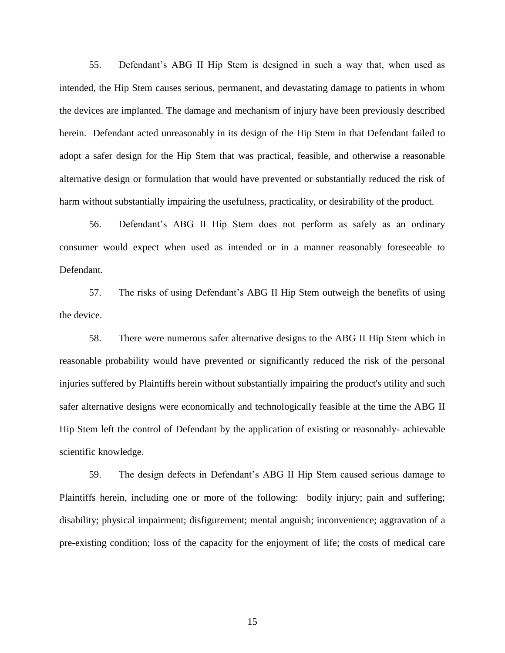55. Defendant's ABG II Hip Stem is designed in such a way that, when used as intended, the Hip Stem causes serious, permanent, and devastating damage to patients in whom the devices are implanted. The damage and mechanism of injury have been previously described herein. Defendant acted unreasonably in its design of the Hip Stem in that Defendant failed to adopt a safer design for the Hip Stem that was practical, feasible, and otherwise a reasonable alternative design or formulation that would have prevented or substantially reduced the risk of harm without substantially impairing the usefulness, practicality, or desirability of the product.

56. Defendant's ABG II Hip Stem does not perform as safely as an ordinary consumer would expect when used as intended or in a manner reasonably foreseeable to Defendant.

57. The risks of using Defendant's ABG II Hip Stem outweigh the benefits of using the device.

58. There were numerous safer alternative designs to the ABG II Hip Stem which in reasonable probability would have prevented or significantly reduced the risk of the personal injuries suffered by Plaintiffs herein without substantially impairing the product's utility and such safer alternative designs were economically and technologically feasible at the time the ABG II Hip Stem left the control of Defendant by the application of existing or reasonably- achievable scientific knowledge.

59. The design defects in Defendant's ABG II Hip Stem caused serious damage to Plaintiffs herein, including one or more of the following: bodily injury; pain and suffering; disability; physical impairment; disfigurement; mental anguish; inconvenience; aggravation of a pre-existing condition; loss of the capacity for the enjoyment of life; the costs of medical care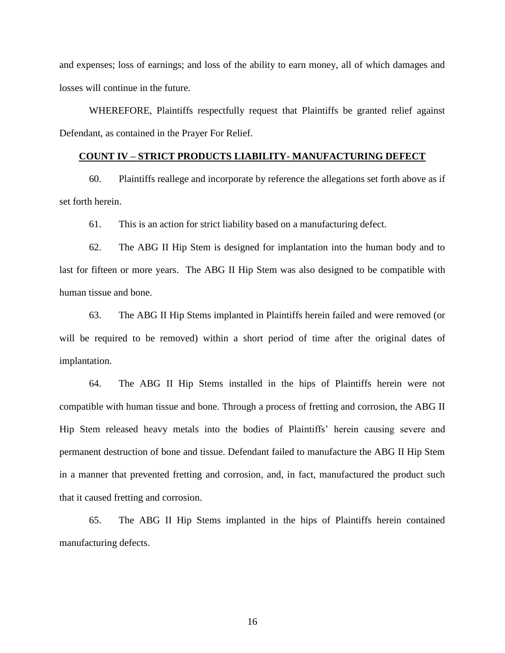and expenses; loss of earnings; and loss of the ability to earn money, all of which damages and losses will continue in the future.

WHEREFORE, Plaintiffs respectfully request that Plaintiffs be granted relief against Defendant, as contained in the Prayer For Relief.

# **COUNT IV – STRICT PRODUCTS LIABILITY- MANUFACTURING DEFECT**

60. Plaintiffs reallege and incorporate by reference the allegations set forth above as if set forth herein.

61. This is an action for strict liability based on a manufacturing defect.

62. The ABG II Hip Stem is designed for implantation into the human body and to last for fifteen or more years. The ABG II Hip Stem was also designed to be compatible with human tissue and bone.

63. The ABG II Hip Stems implanted in Plaintiffs herein failed and were removed (or will be required to be removed) within a short period of time after the original dates of implantation.

64. The ABG II Hip Stems installed in the hips of Plaintiffs herein were not compatible with human tissue and bone. Through a process of fretting and corrosion, the ABG II Hip Stem released heavy metals into the bodies of Plaintiffs' herein causing severe and permanent destruction of bone and tissue. Defendant failed to manufacture the ABG II Hip Stem in a manner that prevented fretting and corrosion, and, in fact, manufactured the product such that it caused fretting and corrosion.

65. The ABG II Hip Stems implanted in the hips of Plaintiffs herein contained manufacturing defects.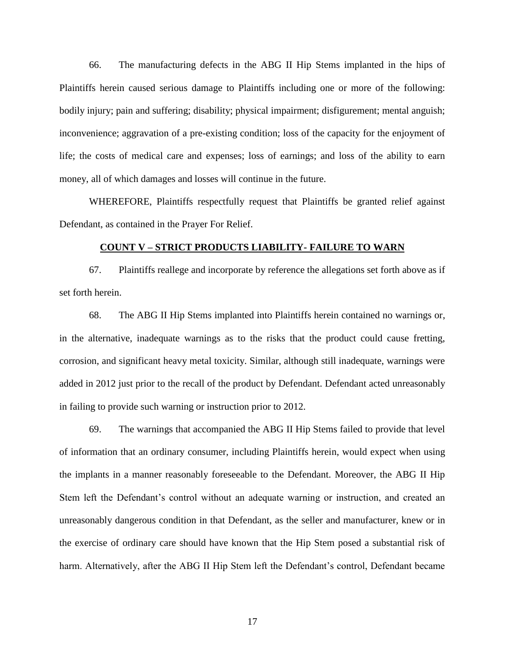66. The manufacturing defects in the ABG II Hip Stems implanted in the hips of Plaintiffs herein caused serious damage to Plaintiffs including one or more of the following: bodily injury; pain and suffering; disability; physical impairment; disfigurement; mental anguish; inconvenience; aggravation of a pre-existing condition; loss of the capacity for the enjoyment of life; the costs of medical care and expenses; loss of earnings; and loss of the ability to earn money, all of which damages and losses will continue in the future.

WHEREFORE, Plaintiffs respectfully request that Plaintiffs be granted relief against Defendant, as contained in the Prayer For Relief.

## **COUNT V – STRICT PRODUCTS LIABILITY- FAILURE TO WARN**

67. Plaintiffs reallege and incorporate by reference the allegations set forth above as if set forth herein.

68. The ABG II Hip Stems implanted into Plaintiffs herein contained no warnings or, in the alternative, inadequate warnings as to the risks that the product could cause fretting, corrosion, and significant heavy metal toxicity. Similar, although still inadequate, warnings were added in 2012 just prior to the recall of the product by Defendant. Defendant acted unreasonably in failing to provide such warning or instruction prior to 2012.

69. The warnings that accompanied the ABG II Hip Stems failed to provide that level of information that an ordinary consumer, including Plaintiffs herein, would expect when using the implants in a manner reasonably foreseeable to the Defendant. Moreover, the ABG II Hip Stem left the Defendant's control without an adequate warning or instruction, and created an unreasonably dangerous condition in that Defendant, as the seller and manufacturer, knew or in the exercise of ordinary care should have known that the Hip Stem posed a substantial risk of harm. Alternatively, after the ABG II Hip Stem left the Defendant's control, Defendant became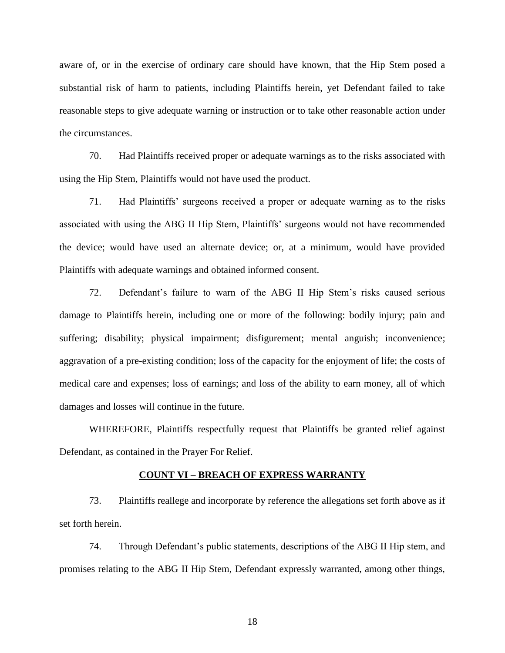aware of, or in the exercise of ordinary care should have known, that the Hip Stem posed a substantial risk of harm to patients, including Plaintiffs herein, yet Defendant failed to take reasonable steps to give adequate warning or instruction or to take other reasonable action under the circumstances.

70. Had Plaintiffs received proper or adequate warnings as to the risks associated with using the Hip Stem, Plaintiffs would not have used the product.

71. Had Plaintiffs' surgeons received a proper or adequate warning as to the risks associated with using the ABG II Hip Stem, Plaintiffs' surgeons would not have recommended the device; would have used an alternate device; or, at a minimum, would have provided Plaintiffs with adequate warnings and obtained informed consent.

72. Defendant's failure to warn of the ABG II Hip Stem's risks caused serious damage to Plaintiffs herein, including one or more of the following: bodily injury; pain and suffering; disability; physical impairment; disfigurement; mental anguish; inconvenience; aggravation of a pre-existing condition; loss of the capacity for the enjoyment of life; the costs of medical care and expenses; loss of earnings; and loss of the ability to earn money, all of which damages and losses will continue in the future.

WHEREFORE, Plaintiffs respectfully request that Plaintiffs be granted relief against Defendant, as contained in the Prayer For Relief.

#### **COUNT VI – BREACH OF EXPRESS WARRANTY**

73. Plaintiffs reallege and incorporate by reference the allegations set forth above as if set forth herein.

74. Through Defendant's public statements, descriptions of the ABG II Hip stem, and promises relating to the ABG II Hip Stem, Defendant expressly warranted, among other things,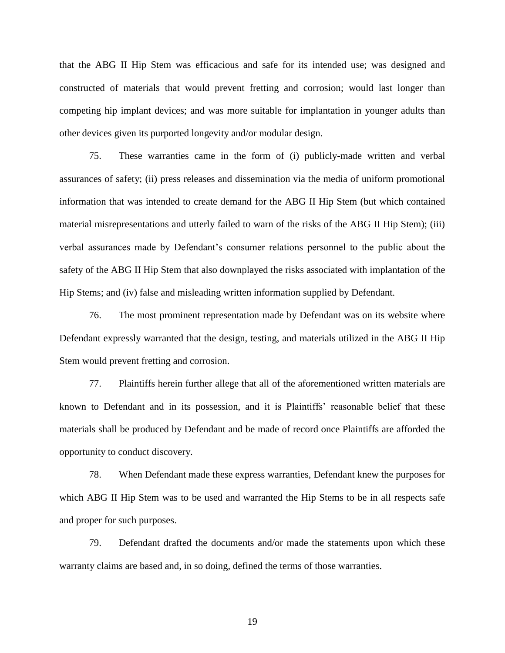that the ABG II Hip Stem was efficacious and safe for its intended use; was designed and constructed of materials that would prevent fretting and corrosion; would last longer than competing hip implant devices; and was more suitable for implantation in younger adults than other devices given its purported longevity and/or modular design.

75. These warranties came in the form of (i) publicly-made written and verbal assurances of safety; (ii) press releases and dissemination via the media of uniform promotional information that was intended to create demand for the ABG II Hip Stem (but which contained material misrepresentations and utterly failed to warn of the risks of the ABG II Hip Stem); (iii) verbal assurances made by Defendant's consumer relations personnel to the public about the safety of the ABG II Hip Stem that also downplayed the risks associated with implantation of the Hip Stems; and (iv) false and misleading written information supplied by Defendant.

76. The most prominent representation made by Defendant was on its website where Defendant expressly warranted that the design, testing, and materials utilized in the ABG II Hip Stem would prevent fretting and corrosion.

77. Plaintiffs herein further allege that all of the aforementioned written materials are known to Defendant and in its possession, and it is Plaintiffs' reasonable belief that these materials shall be produced by Defendant and be made of record once Plaintiffs are afforded the opportunity to conduct discovery.

78. When Defendant made these express warranties, Defendant knew the purposes for which ABG II Hip Stem was to be used and warranted the Hip Stems to be in all respects safe and proper for such purposes.

79. Defendant drafted the documents and/or made the statements upon which these warranty claims are based and, in so doing, defined the terms of those warranties.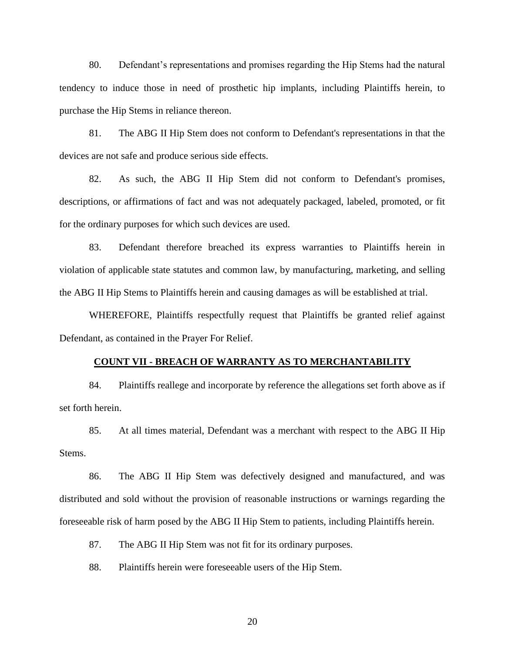80. Defendant's representations and promises regarding the Hip Stems had the natural tendency to induce those in need of prosthetic hip implants, including Plaintiffs herein, to purchase the Hip Stems in reliance thereon.

81. The ABG II Hip Stem does not conform to Defendant's representations in that the devices are not safe and produce serious side effects.

82. As such, the ABG II Hip Stem did not conform to Defendant's promises, descriptions, or affirmations of fact and was not adequately packaged, labeled, promoted, or fit for the ordinary purposes for which such devices are used.

83. Defendant therefore breached its express warranties to Plaintiffs herein in violation of applicable state statutes and common law, by manufacturing, marketing, and selling the ABG II Hip Stems to Plaintiffs herein and causing damages as will be established at trial.

WHEREFORE, Plaintiffs respectfully request that Plaintiffs be granted relief against Defendant, as contained in the Prayer For Relief.

#### **COUNT VII - BREACH OF WARRANTY AS TO MERCHANTABILITY**

84. Plaintiffs reallege and incorporate by reference the allegations set forth above as if set forth herein.

85. At all times material, Defendant was a merchant with respect to the ABG II Hip Stems.

86. The ABG II Hip Stem was defectively designed and manufactured, and was distributed and sold without the provision of reasonable instructions or warnings regarding the foreseeable risk of harm posed by the ABG II Hip Stem to patients, including Plaintiffs herein.

87. The ABG II Hip Stem was not fit for its ordinary purposes.

88. Plaintiffs herein were foreseeable users of the Hip Stem.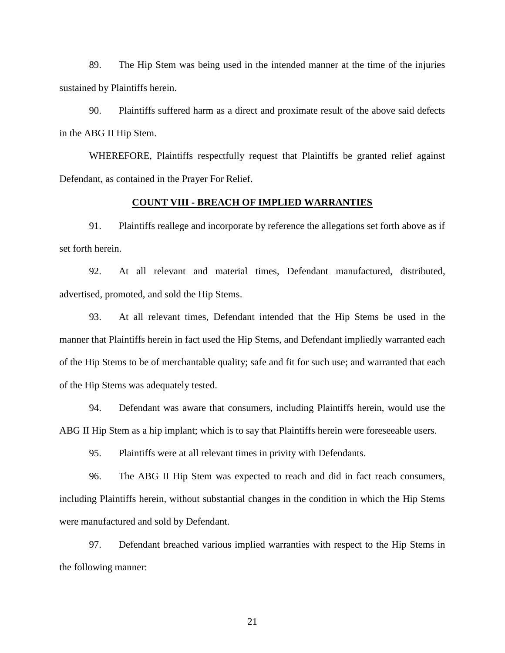89. The Hip Stem was being used in the intended manner at the time of the injuries sustained by Plaintiffs herein.

90. Plaintiffs suffered harm as a direct and proximate result of the above said defects in the ABG II Hip Stem.

WHEREFORE, Plaintiffs respectfully request that Plaintiffs be granted relief against Defendant, as contained in the Prayer For Relief.

## **COUNT VIII - BREACH OF IMPLIED WARRANTIES**

91. Plaintiffs reallege and incorporate by reference the allegations set forth above as if set forth herein.

92. At all relevant and material times, Defendant manufactured, distributed, advertised, promoted, and sold the Hip Stems.

93. At all relevant times, Defendant intended that the Hip Stems be used in the manner that Plaintiffs herein in fact used the Hip Stems, and Defendant impliedly warranted each of the Hip Stems to be of merchantable quality; safe and fit for such use; and warranted that each of the Hip Stems was adequately tested.

94. Defendant was aware that consumers, including Plaintiffs herein, would use the ABG II Hip Stem as a hip implant; which is to say that Plaintiffs herein were foreseeable users.

95. Plaintiffs were at all relevant times in privity with Defendants.

96. The ABG II Hip Stem was expected to reach and did in fact reach consumers, including Plaintiffs herein, without substantial changes in the condition in which the Hip Stems were manufactured and sold by Defendant.

97. Defendant breached various implied warranties with respect to the Hip Stems in the following manner: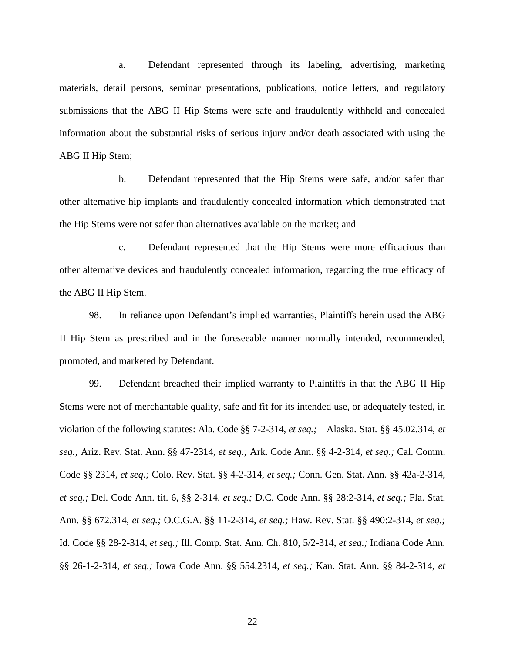a. Defendant represented through its labeling, advertising, marketing materials, detail persons, seminar presentations, publications, notice letters, and regulatory submissions that the ABG II Hip Stems were safe and fraudulently withheld and concealed information about the substantial risks of serious injury and/or death associated with using the ABG II Hip Stem;

b. Defendant represented that the Hip Stems were safe, and/or safer than other alternative hip implants and fraudulently concealed information which demonstrated that the Hip Stems were not safer than alternatives available on the market; and

c. Defendant represented that the Hip Stems were more efficacious than other alternative devices and fraudulently concealed information, regarding the true efficacy of the ABG II Hip Stem.

98. In reliance upon Defendant's implied warranties, Plaintiffs herein used the ABG II Hip Stem as prescribed and in the foreseeable manner normally intended, recommended, promoted, and marketed by Defendant.

99. Defendant breached their implied warranty to Plaintiffs in that the ABG II Hip Stems were not of merchantable quality, safe and fit for its intended use, or adequately tested, in violation of the following statutes: Ala. Code §§ 7-2-314, *et seq.;* Alaska. Stat. §§ 45.02.314, *et seq.;* Ariz. Rev. Stat. Ann. §§ 47-2314, *et seq.;* Ark. Code Ann. §§ 4-2-314, *et seq.;* Cal. Comm. Code §§ 2314, *et seq.;* Colo. Rev. Stat. §§ 4-2-314, *et seq.;* Conn. Gen. Stat. Ann. §§ 42a-2-314, *et seq.;* Del. Code Ann. tit. 6, §§ 2-314, *et seq.;* D.C. Code Ann. §§ 28:2-314, *et seq.;* Fla. Stat. Ann. §§ 672.314, *et seq.;* O.C.G.A. §§ 11-2-314, *et seq.;* Haw. Rev. Stat. §§ 490:2-314, *et seq.;*  Id. Code §§ 28-2-314, *et seq.;* Ill. Comp. Stat. Ann. Ch. 810, 5/2-314, *et seq.;* Indiana Code Ann. §§ 26-1-2-314, *et seq.;* Iowa Code Ann. §§ 554.2314, *et seq.;* Kan. Stat. Ann. §§ 84-2-314, *et*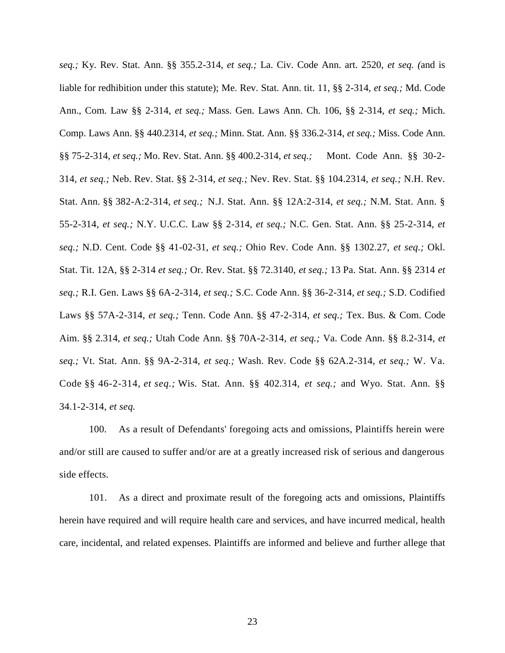*seq.;* Ky. Rev. Stat. Ann. §§ 355.2-314, *et seq.;* La. Civ. Code Ann. art. 2520, *et seq. (*and is liable for redhibition under this statute); Me. Rev. Stat. Ann. tit. 11, §§ 2-314, *et seq.;* Md. Code Ann., Com. Law §§ 2-314, *et seq.;* Mass. Gen. Laws Ann. Ch. 106, §§ 2-314, *et seq.;* Mich. Comp. Laws Ann. §§ 440.2314, *et seq.;* Minn. Stat. Ann. §§ 336.2-314, *et seq.;* Miss. Code Ann. §§ 75-2-314, *et seq.;* Mo. Rev. Stat. Ann. §§ 400.2-314, *et seq.;* Mont. Code Ann. §§ 30-2- 314, *et seq.;* Neb. Rev. Stat. §§ 2-314, *et seq.;* Nev. Rev. Stat. §§ 104.2314, *et seq.;* N.H. Rev. Stat. Ann. §§ 382-A:2-314, *et seq.;* N.J. Stat. Ann. §§ 12A:2-314, *et seq.;* N.M. Stat. Ann. § 55-2-314, *et seq.;* N.Y. U.C.C. Law §§ 2-314, *et seq.;* N.C. Gen. Stat. Ann. §§ 25-2-314, *et seq.;* N.D. Cent. Code §§ 41-02-31, *et seq.;* Ohio Rev. Code Ann. §§ 1302.27, *et seq.;* Okl. Stat. Tit. 12A, §§ 2-314 *et seq.;* Or. Rev. Stat. §§ 72.3140, *et seq.;* 13 Pa. Stat. Ann. §§ 2314 *et seq.;* R.I. Gen. Laws §§ 6A-2-314, *et seq.;* S.C. Code Ann. §§ 36-2-314, *et seq.;* S.D. Codified Laws §§ 57A-2-314, *et seq.;* Tenn. Code Ann. §§ 47-2-314, *et seq.;* Tex. Bus. & Com. Code Aim. §§ 2.314, *et seq.;* Utah Code Ann. §§ 70A-2-314, *et seq.;* Va. Code Ann. §§ 8.2-314, *et seq.;* Vt. Stat. Ann. §§ 9A-2-314, *et seq.;* Wash. Rev. Code §§ 62A.2-314, *et seq.;* W. Va. Code §§ 46-2-314, *et seq.;* Wis. Stat. Ann. §§ 402.314, *et seq.;* and Wyo. Stat. Ann. §§ 34.1-2-314, *et seq.*

100. As a result of Defendants' foregoing acts and omissions, Plaintiffs herein were and/or still are caused to suffer and/or are at a greatly increased risk of serious and dangerous side effects.

101. As a direct and proximate result of the foregoing acts and omissions, Plaintiffs herein have required and will require health care and services, and have incurred medical, health care, incidental, and related expenses. Plaintiffs are informed and believe and further allege that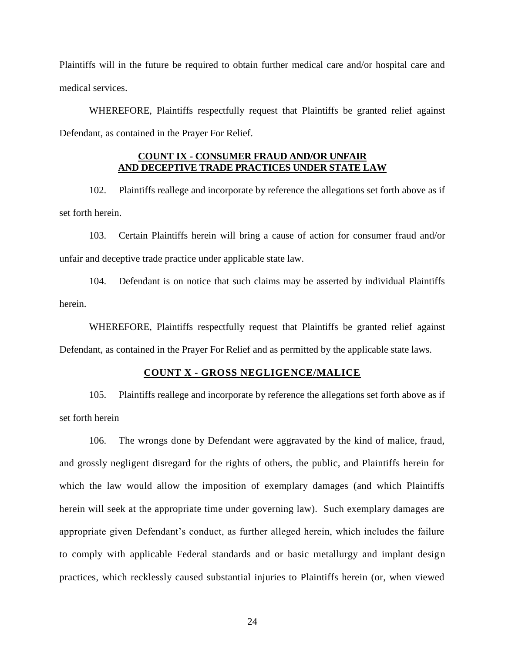Plaintiffs will in the future be required to obtain further medical care and/or hospital care and medical services.

WHEREFORE, Plaintiffs respectfully request that Plaintiffs be granted relief against Defendant, as contained in the Prayer For Relief.

# **COUNT IX - CONSUMER FRAUD AND/OR UNFAIR AND DECEPTIVE TRADE PRACTICES UNDER STATE LAW**

102. Plaintiffs reallege and incorporate by reference the allegations set forth above as if set forth herein.

103. Certain Plaintiffs herein will bring a cause of action for consumer fraud and/or unfair and deceptive trade practice under applicable state law.

104. Defendant is on notice that such claims may be asserted by individual Plaintiffs herein.

WHEREFORE, Plaintiffs respectfully request that Plaintiffs be granted relief against

Defendant, as contained in the Prayer For Relief and as permitted by the applicable state laws.

# **COUNT X - GROSS NEGLIGENCE/MALICE**

105. Plaintiffs reallege and incorporate by reference the allegations set forth above as if set forth herein

106. The wrongs done by Defendant were aggravated by the kind of malice, fraud, and grossly negligent disregard for the rights of others, the public, and Plaintiffs herein for which the law would allow the imposition of exemplary damages (and which Plaintiffs herein will seek at the appropriate time under governing law). Such exemplary damages are appropriate given Defendant's conduct, as further alleged herein, which includes the failure to comply with applicable Federal standards and or basic metallurgy and implant design practices, which recklessly caused substantial injuries to Plaintiffs herein (or, when viewed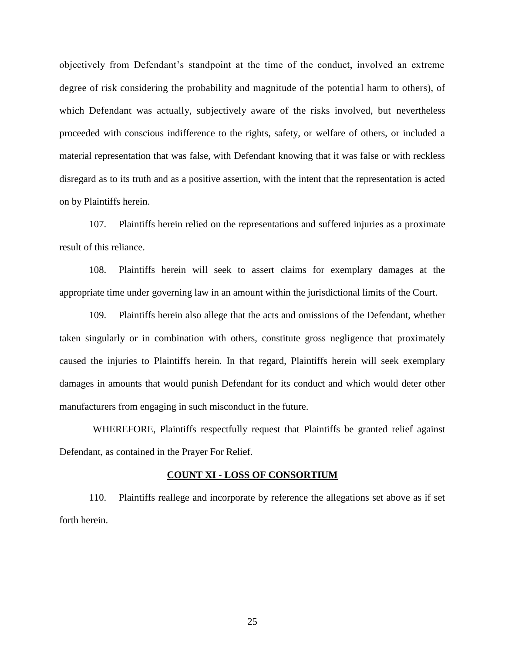objectively from Defendant's standpoint at the time of the conduct, involved an extreme degree of risk considering the probability and magnitude of the potential harm to others), of which Defendant was actually, subjectively aware of the risks involved, but nevertheless proceeded with conscious indifference to the rights, safety, or welfare of others, or included a material representation that was false, with Defendant knowing that it was false or with reckless disregard as to its truth and as a positive assertion, with the intent that the representation is acted on by Plaintiffs herein.

107. Plaintiffs herein relied on the representations and suffered injuries as a proximate result of this reliance.

108. Plaintiffs herein will seek to assert claims for exemplary damages at the appropriate time under governing law in an amount within the jurisdictional limits of the Court.

109. Plaintiffs herein also allege that the acts and omissions of the Defendant, whether taken singularly or in combination with others, constitute gross negligence that proximately caused the injuries to Plaintiffs herein. In that regard, Plaintiffs herein will seek exemplary damages in amounts that would punish Defendant for its conduct and which would deter other manufacturers from engaging in such misconduct in the future.

WHEREFORE, Plaintiffs respectfully request that Plaintiffs be granted relief against Defendant, as contained in the Prayer For Relief.

#### **COUNT XI - LOSS OF CONSORTIUM**

110. Plaintiffs reallege and incorporate by reference the allegations set above as if set forth herein.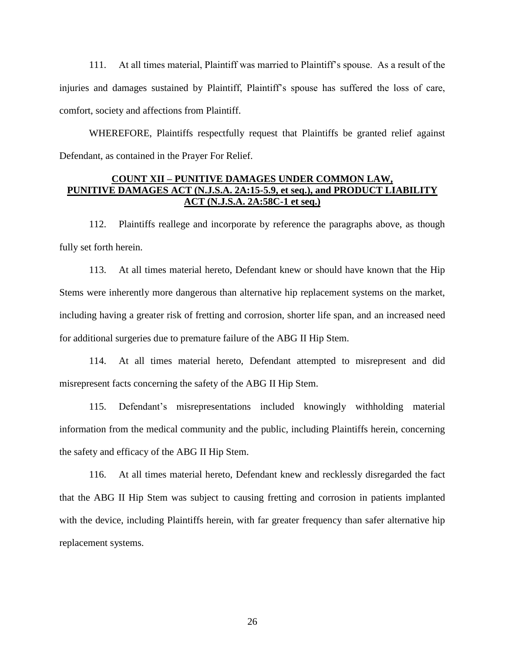111. At all times material, Plaintiff was married to Plaintiff's spouse. As a result of the injuries and damages sustained by Plaintiff, Plaintiff's spouse has suffered the loss of care, comfort, society and affections from Plaintiff.

WHEREFORE, Plaintiffs respectfully request that Plaintiffs be granted relief against Defendant, as contained in the Prayer For Relief.

# **COUNT XII – PUNITIVE DAMAGES UNDER COMMON LAW, PUNITIVE DAMAGES ACT (N.J.S.A. 2A:15-5.9, et seq.), and PRODUCT LIABILITY ACT (N.J.S.A. 2A:58C-1 et seq.)**

112. Plaintiffs reallege and incorporate by reference the paragraphs above, as though fully set forth herein.

113. At all times material hereto, Defendant knew or should have known that the Hip Stems were inherently more dangerous than alternative hip replacement systems on the market, including having a greater risk of fretting and corrosion, shorter life span, and an increased need for additional surgeries due to premature failure of the ABG II Hip Stem.

114. At all times material hereto, Defendant attempted to misrepresent and did misrepresent facts concerning the safety of the ABG II Hip Stem.

115. Defendant's misrepresentations included knowingly withholding material information from the medical community and the public, including Plaintiffs herein, concerning the safety and efficacy of the ABG II Hip Stem.

116. At all times material hereto, Defendant knew and recklessly disregarded the fact that the ABG II Hip Stem was subject to causing fretting and corrosion in patients implanted with the device, including Plaintiffs herein, with far greater frequency than safer alternative hip replacement systems.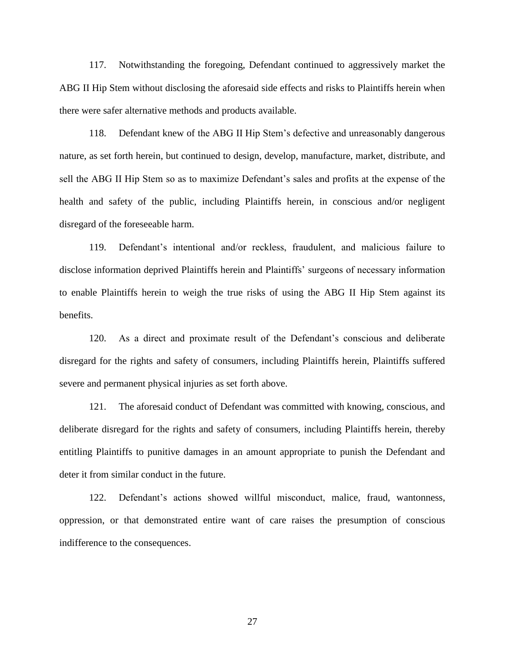117. Notwithstanding the foregoing, Defendant continued to aggressively market the ABG II Hip Stem without disclosing the aforesaid side effects and risks to Plaintiffs herein when there were safer alternative methods and products available.

118. Defendant knew of the ABG II Hip Stem's defective and unreasonably dangerous nature, as set forth herein, but continued to design, develop, manufacture, market, distribute, and sell the ABG II Hip Stem so as to maximize Defendant's sales and profits at the expense of the health and safety of the public, including Plaintiffs herein, in conscious and/or negligent disregard of the foreseeable harm.

119. Defendant's intentional and/or reckless, fraudulent, and malicious failure to disclose information deprived Plaintiffs herein and Plaintiffs' surgeons of necessary information to enable Plaintiffs herein to weigh the true risks of using the ABG II Hip Stem against its benefits.

120. As a direct and proximate result of the Defendant's conscious and deliberate disregard for the rights and safety of consumers, including Plaintiffs herein, Plaintiffs suffered severe and permanent physical injuries as set forth above.

121. The aforesaid conduct of Defendant was committed with knowing, conscious, and deliberate disregard for the rights and safety of consumers, including Plaintiffs herein, thereby entitling Plaintiffs to punitive damages in an amount appropriate to punish the Defendant and deter it from similar conduct in the future.

122. Defendant's actions showed willful misconduct, malice, fraud, wantonness, oppression, or that demonstrated entire want of care raises the presumption of conscious indifference to the consequences.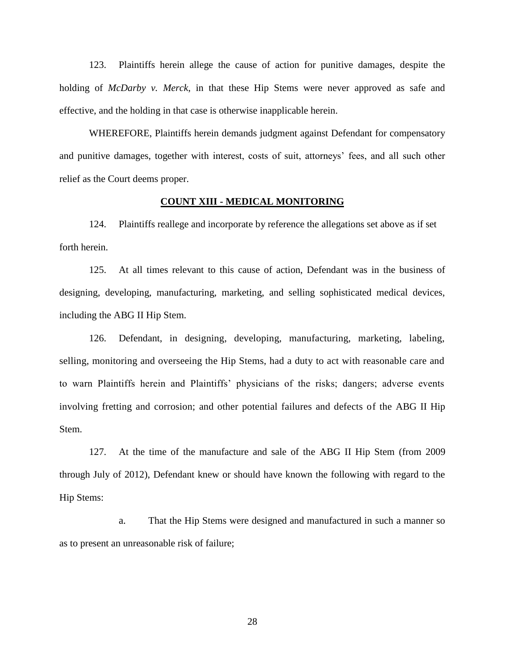123. Plaintiffs herein allege the cause of action for punitive damages, despite the holding of *McDarby v. Merck*, in that these Hip Stems were never approved as safe and effective, and the holding in that case is otherwise inapplicable herein.

WHEREFORE, Plaintiffs herein demands judgment against Defendant for compensatory and punitive damages, together with interest, costs of suit, attorneys' fees, and all such other relief as the Court deems proper.

## **COUNT XIII - MEDICAL MONITORING**

124. Plaintiffs reallege and incorporate by reference the allegations set above as if set forth herein.

125. At all times relevant to this cause of action, Defendant was in the business of designing, developing, manufacturing, marketing, and selling sophisticated medical devices, including the ABG II Hip Stem.

126. Defendant, in designing, developing, manufacturing, marketing, labeling, selling, monitoring and overseeing the Hip Stems, had a duty to act with reasonable care and to warn Plaintiffs herein and Plaintiffs' physicians of the risks; dangers; adverse events involving fretting and corrosion; and other potential failures and defects of the ABG II Hip Stem.

127. At the time of the manufacture and sale of the ABG II Hip Stem (from 2009 through July of 2012), Defendant knew or should have known the following with regard to the Hip Stems:

a. That the Hip Stems were designed and manufactured in such a manner so as to present an unreasonable risk of failure;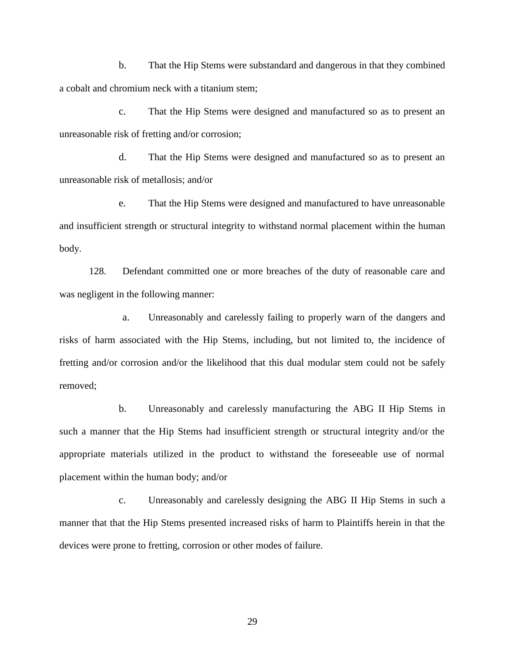b. That the Hip Stems were substandard and dangerous in that they combined a cobalt and chromium neck with a titanium stem;

c. That the Hip Stems were designed and manufactured so as to present an unreasonable risk of fretting and/or corrosion;

d. That the Hip Stems were designed and manufactured so as to present an unreasonable risk of metallosis; and/or

e. That the Hip Stems were designed and manufactured to have unreasonable and insufficient strength or structural integrity to withstand normal placement within the human body.

128. Defendant committed one or more breaches of the duty of reasonable care and was negligent in the following manner:

a. Unreasonably and carelessly failing to properly warn of the dangers and risks of harm associated with the Hip Stems, including, but not limited to, the incidence of fretting and/or corrosion and/or the likelihood that this dual modular stem could not be safely removed;

b. Unreasonably and carelessly manufacturing the ABG II Hip Stems in such a manner that the Hip Stems had insufficient strength or structural integrity and/or the appropriate materials utilized in the product to withstand the foreseeable use of normal placement within the human body; and/or

c. Unreasonably and carelessly designing the ABG II Hip Stems in such a manner that that the Hip Stems presented increased risks of harm to Plaintiffs herein in that the devices were prone to fretting, corrosion or other modes of failure.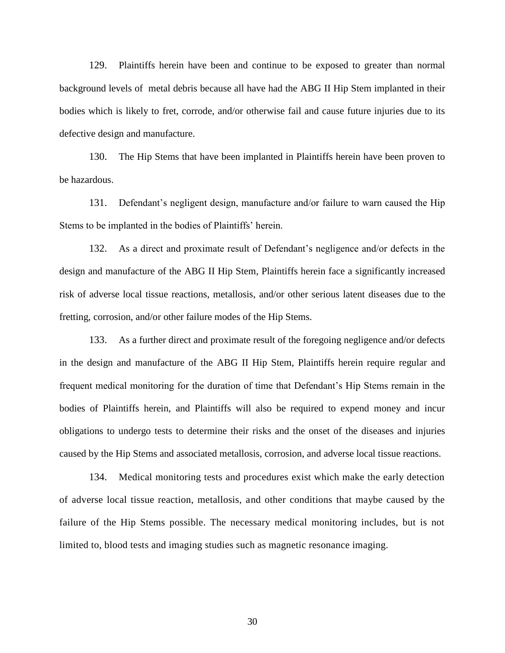129. Plaintiffs herein have been and continue to be exposed to greater than normal background levels of metal debris because all have had the ABG II Hip Stem implanted in their bodies which is likely to fret, corrode, and/or otherwise fail and cause future injuries due to its defective design and manufacture.

130. The Hip Stems that have been implanted in Plaintiffs herein have been proven to be hazardous.

131. Defendant's negligent design, manufacture and/or failure to warn caused the Hip Stems to be implanted in the bodies of Plaintiffs' herein.

132. As a direct and proximate result of Defendant's negligence and/or defects in the design and manufacture of the ABG II Hip Stem, Plaintiffs herein face a significantly increased risk of adverse local tissue reactions, metallosis, and/or other serious latent diseases due to the fretting, corrosion, and/or other failure modes of the Hip Stems.

133. As a further direct and proximate result of the foregoing negligence and/or defects in the design and manufacture of the ABG II Hip Stem, Plaintiffs herein require regular and frequent medical monitoring for the duration of time that Defendant's Hip Stems remain in the bodies of Plaintiffs herein, and Plaintiffs will also be required to expend money and incur obligations to undergo tests to determine their risks and the onset of the diseases and injuries caused by the Hip Stems and associated metallosis, corrosion, and adverse local tissue reactions.

134. Medical monitoring tests and procedures exist which make the early detection of adverse local tissue reaction, metallosis, and other conditions that maybe caused by the failure of the Hip Stems possible. The necessary medical monitoring includes, but is not limited to, blood tests and imaging studies such as magnetic resonance imaging.